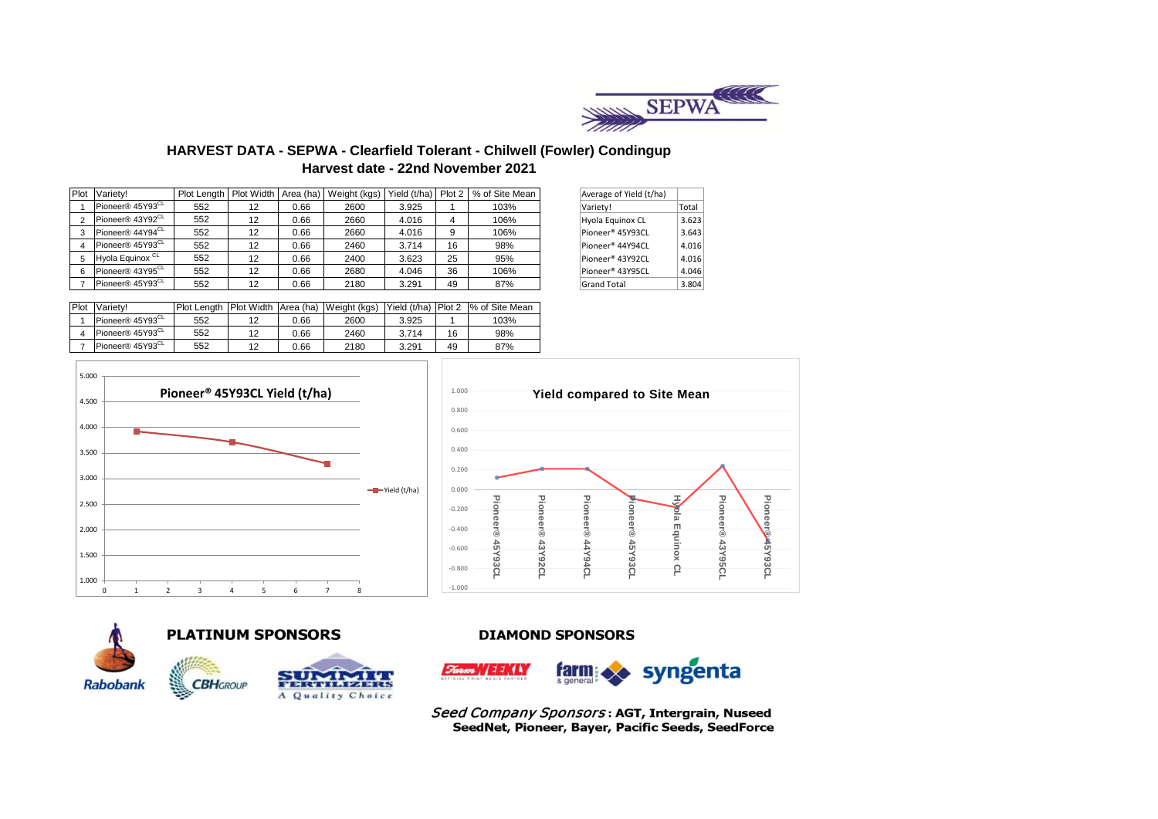

# **HARVEST DATA - SEPWA - Clearfield Tolerant - Chilwell (Fowler) Condingup Harvest date - 22nd November 2021**

|  | Plot Variety!                | Plot Length   Plot Width |    | Area (ha) | Weight (kgs) | Yield (t/ha) Plot 2 |    | % of Site Mean | Average of Yield (t/ha)      |       |
|--|------------------------------|--------------------------|----|-----------|--------------|---------------------|----|----------------|------------------------------|-------|
|  | Pioneer® 45Y93 <sup>CL</sup> | 552                      | 12 | 0.66      | 2600         | 3.925               |    | 103%           | Variety!                     | Total |
|  | Pioneer® 43Y92 <sup>CL</sup> | 552                      | 12 | 0.66      | 2660         | 4.016               | 4  | 106%           | Hyola Equinox CL             | 3.623 |
|  | Pioneer® 44Y94 <sup>CL</sup> | 552                      | 12 | 0.66      | 2660         | 4.016               | 9  | 106%           | Pioneer <sup>®</sup> 45Y93CL | 3.643 |
|  | Pioneer® 45Y93 <sup>CL</sup> | 552                      | 12 | 0.66      | 2460         | 3.714               | 16 | 98%            | Pioneer® 44Y94CL             | 4.016 |
|  | Hyola Equinox <sup>CL</sup>  | 552                      | 12 | 0.66      | 2400         | 3.623               | 25 | 95%            | Pioneer® 43Y92CL             | 4.016 |
|  | Pioneer® 43Y95 <sup>CL</sup> | 552                      | 12 | 0.66      | 2680         | 4.046               | 36 | 106%           | Pioneer® 43Y95CL             | 4.046 |
|  | Pioneer® 45Y93 <sup>CL</sup> | 552                      | 12 | 0.66      | 2180         | 3.291               | 49 | 87%            | <b>Grand Total</b>           | 3.804 |

| Average of Yield (t/ha)      |       |
|------------------------------|-------|
| Variety!                     | Total |
| Hyola Equinox CL             | 3.623 |
| Pioneer <sup>®</sup> 45Y93CL | 3.643 |
| Pioneer <sup>®</sup> 44Y94CL | 4.016 |
| Pioneer <sup>®</sup> 43Y92CL | 4.016 |
| Pioneer® 43Y95CL             | 4.046 |
| <b>Grand Total</b>           | 3.804 |

| Plot | Variety!                     | <b>Plot Lenath</b> | <b>Plot Width</b> |      | Area (ha) Weight (kgs) | Yield (t/ha) | Plot 2 | I% of Site Mean |
|------|------------------------------|--------------------|-------------------|------|------------------------|--------------|--------|-----------------|
|      | Pioneer® 45Y93 <sup>CL</sup> | 552                |                   | 0.66 | 2600                   | 3.925        |        | 103%            |
|      | Pioneer® 45Y93 <sup>CL</sup> | 552                | າາ                | 0.66 | 2460                   | 3.714        | 16     | 98%             |
|      | Pioneer® 45Y93 <sup>CL</sup> | 552                | 1つ                | 0.66 | 2180                   | 3.291        | 49     | 87%             |







**PLATINUM SPONSORS** 

**CBHGROUP** 



### **DIAMOND SPONSORS**



Seed Company Sponsors: AGT, Intergrain, Nuseed SeedNet, Pioneer, Bayer, Pacific Seeds, SeedForce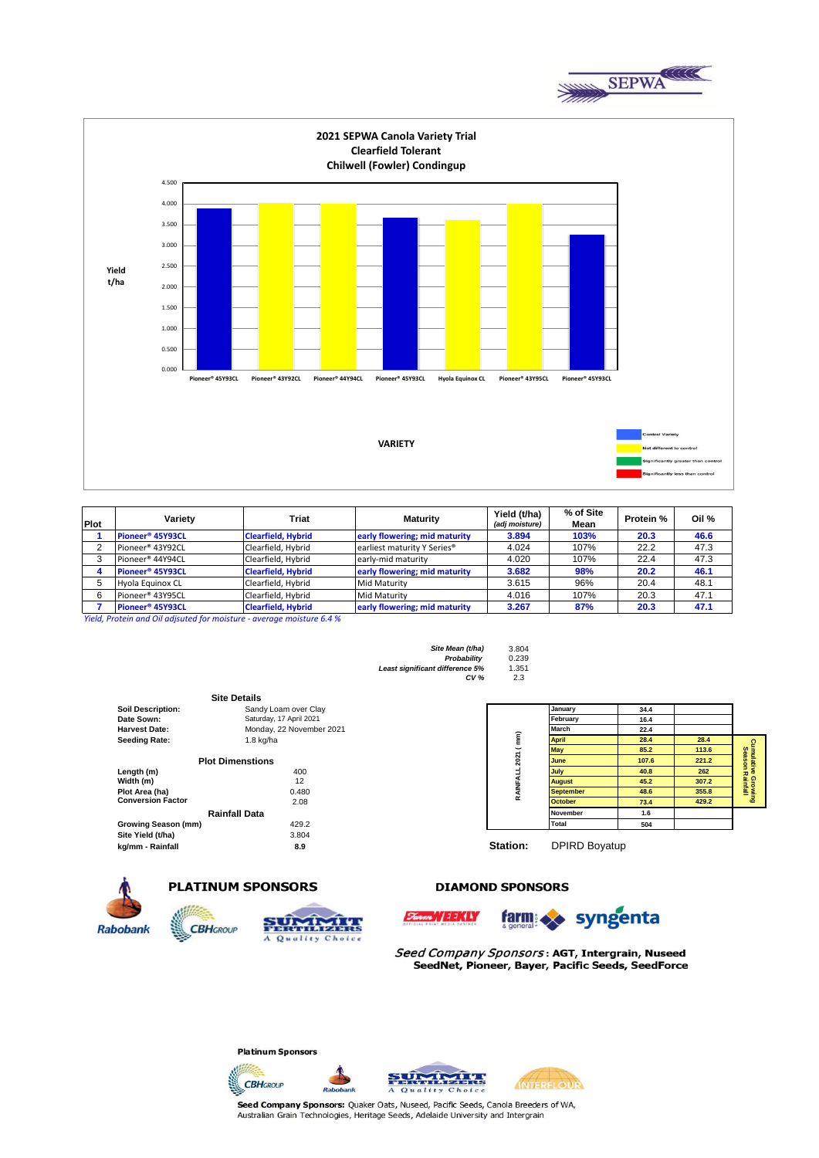



| Plot | Variety                      | Triat                     | Maturity                                | Yield (t/ha)<br>(adj moisture) | % of Site<br>Mean | <b>Protein %</b> | Oil % |
|------|------------------------------|---------------------------|-----------------------------------------|--------------------------------|-------------------|------------------|-------|
|      | Pioneer <sup>®</sup> 45Y93CL | <b>Clearfield, Hybrid</b> | early flowering; mid maturity           | 3.894                          | 103%              | 20.3             | 46.6  |
|      | Pioneer <sup>®</sup> 43Y92CL | Clearfield, Hybrid        | earliest maturity Y Series <sup>®</sup> | 4.024                          | 107%              | 22.2             | 47.3  |
|      | Pioneer <sup>®</sup> 44Y94CL | Clearfield, Hybrid        | early-mid maturity                      | 4.020                          | 107%              | 22.4             | 47.3  |
|      | Pioneer <sup>®</sup> 45Y93CL | <b>Clearfield, Hybrid</b> | early flowering; mid maturity           | 3.682                          | 98%               | 20.2             | 46.1  |
|      | Hyola Equinox CL             | Clearfield, Hybrid        | <b>Mid Maturity</b>                     | 3.615                          | 96%               | 20.4             | 48.1  |
| 6    | Pioneer <sup>®</sup> 43Y95CL | Clearfield, Hybrid        | <b>Mid Maturity</b>                     | 4.016                          | 107%              | 20.3             | 47.1  |
|      | Pioneer <sup>®</sup> 45Y93CL | <b>Clearfield, Hybrid</b> | early flowering; mid maturity           | 3.267                          | 87%               | 20.3             | 47.1  |

*Yield, Protein and Oil adjsuted for moisture - average moisture 6.4 %*

| Site Mean (t/ha)                | 3.804 |
|---------------------------------|-------|
| Probability                     | 0.239 |
| Least significant difference 5% | 1.351 |
| CV <sub>6</sub>                 | 2.3   |

|                          | <b>Site Details</b>      |                 |                      |      |
|--------------------------|--------------------------|-----------------|----------------------|------|
| <b>Soil Description:</b> | Sandy Loam over Clay     |                 | January              | 34.4 |
| Date Sown:               | Saturday, 17 April 2021  |                 | February             | 16.4 |
| <b>Harvest Date:</b>     | Monday, 22 November 2021 |                 | March                | 22.4 |
| <b>Seeding Rate:</b>     | $1.8$ kg/ha              |                 | <b>April</b>         | 28.4 |
|                          |                          |                 | <b>May</b>           | 85.2 |
|                          | <b>Plot Dimenstions</b>  | 2021 (mm)       | June                 | 107. |
| Length (m)               | 400                      |                 | July                 | 40.8 |
| Width (m)                | 12                       |                 | <b>August</b>        | 45.2 |
| Plot Area (ha)           | 0.480                    | RAINFALL        | <b>September</b>     | 48.6 |
| <b>Conversion Factor</b> | 2.08                     |                 | <b>October</b>       | 73.4 |
|                          | Rainfall Data            |                 | <b>November</b>      | 1.6  |
| Growing Season (mm)      | 429.2                    |                 | Total                | 504  |
| Site Yield (t/ha)        | 3.804                    |                 |                      |      |
| kg/mm - Rainfall         | 8.9                      | <b>Station:</b> | <b>DPIRD Bovatup</b> |      |

**CBH**GROUP



**Station:** DPIRD Boyatup

#### **DIAMOND SPONSORS**



## **PLATINUM SPONSORS**

**UMIXIA** 

A Quality Choice





Seed Company Sponsors: AGT, Intergrain, Nuseed SeedNet, Pioneer, Bayer, Pacific Seeds, SeedForce